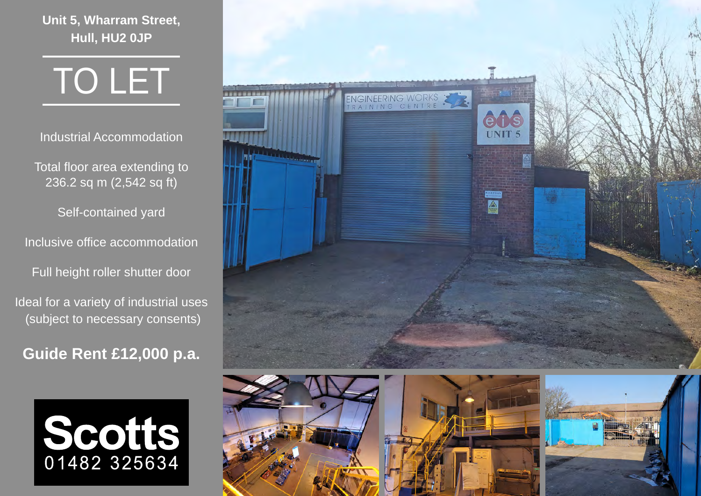**Unit 5, Wharram Street, Hull, HU2 0JP**

TO LET

Industrial Accommodation

Total floor area extending to 236.2 sq m (2,542 sq ft)

Self-contained yard

Inclusive office accommodation

Full height roller shutter door

Ideal for a variety of industrial uses (subject to necessary consents)

**Guide Rent £12,000 p.a.**